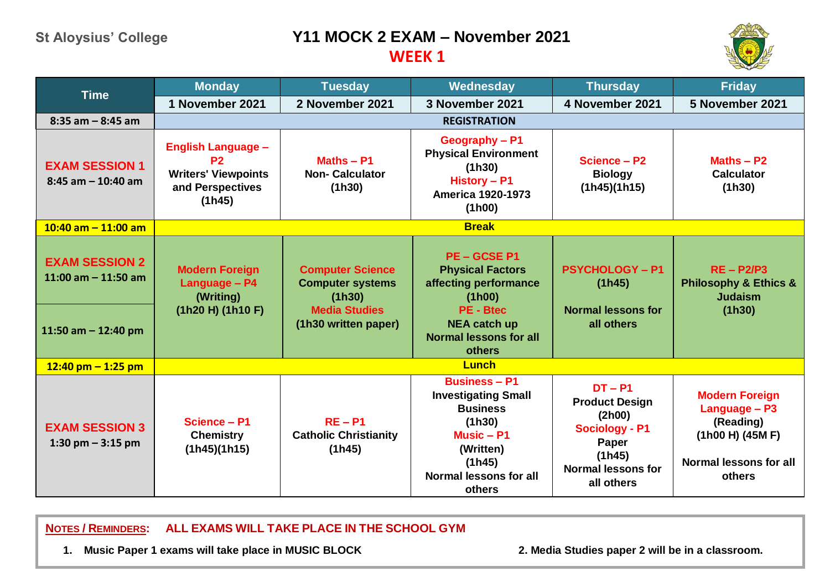## **St Aloysius' College Y11 MOCK 2 EXAM – November 2021**

## **WEEK 1**



| <b>Time</b>                                                             | <b>Monday</b>                                                                                           | <b>Tuesday</b>                                                                                               | Wednesday                                                                                                                                                     | <b>Thursday</b>                                                                                                                     | <b>Friday</b>                                                                                               |  |  |  |
|-------------------------------------------------------------------------|---------------------------------------------------------------------------------------------------------|--------------------------------------------------------------------------------------------------------------|---------------------------------------------------------------------------------------------------------------------------------------------------------------|-------------------------------------------------------------------------------------------------------------------------------------|-------------------------------------------------------------------------------------------------------------|--|--|--|
|                                                                         | 1 November 2021                                                                                         | 2 November 2021                                                                                              | 3 November 2021                                                                                                                                               | 4 November 2021                                                                                                                     | 5 November 2021                                                                                             |  |  |  |
| $8:35$ am $-8:45$ am                                                    | <b>REGISTRATION</b>                                                                                     |                                                                                                              |                                                                                                                                                               |                                                                                                                                     |                                                                                                             |  |  |  |
| <b>EXAM SESSION 1</b><br>$8:45$ am $-10:40$ am                          | <b>English Language -</b><br>P <sub>2</sub><br><b>Writers' Viewpoints</b><br>and Perspectives<br>(1h45) | Maths - P1<br><b>Non-Calculator</b><br>(1h30)                                                                | Geography - P1<br><b>Physical Environment</b><br>(1h30)<br>History - P1<br><b>America 1920-1973</b><br>(1h00)                                                 | Science - P2<br><b>Biology</b><br>(1h45)(1h15)                                                                                      | Maths $-$ P2<br><b>Calculator</b><br>(1h30)                                                                 |  |  |  |
| $10:40$ am $-11:00$ am                                                  | <b>Break</b>                                                                                            |                                                                                                              |                                                                                                                                                               |                                                                                                                                     |                                                                                                             |  |  |  |
| <b>EXAM SESSION 2</b><br>11:00 am $-$ 11:50 am<br>11:50 am $-$ 12:40 pm | <b>Modern Foreign</b><br>Language - P4<br>(Writing)<br>(1h20 H) (1h10 F)                                | <b>Computer Science</b><br><b>Computer systems</b><br>(1h30)<br><b>Media Studies</b><br>(1h30 written paper) | PE-GCSEP1<br><b>Physical Factors</b><br>affecting performance<br>(1h00)<br><b>PE - Btec</b><br><b>NEA catch up</b><br><b>Normal lessons for all</b><br>others | <b>PSYCHOLOGY - P1</b><br>(1h45)<br><b>Normal lessons for</b><br>all others                                                         | $RE - P2/P3$<br><b>Philosophy &amp; Ethics &amp;</b><br><b>Judaism</b><br>(1h30)                            |  |  |  |
| $12:40$ pm $-1:25$ pm                                                   | <b>Lunch</b>                                                                                            |                                                                                                              |                                                                                                                                                               |                                                                                                                                     |                                                                                                             |  |  |  |
| <b>EXAM SESSION 3</b><br>1:30 pm $-$ 3:15 pm                            | Science - P1<br><b>Chemistry</b><br>(1h45)(1h15)                                                        | $RE - P1$<br><b>Catholic Christianity</b><br>(1h45)                                                          | <b>Business - P1</b><br><b>Investigating Small</b><br><b>Business</b><br>(1h30)<br>Music $- P1$<br>(Written)<br>(1h45)<br>Normal lessons for all<br>others    | $DT - P1$<br><b>Product Design</b><br>(2h00)<br><b>Sociology - P1</b><br>Paper<br>(1h45)<br><b>Normal lessons for</b><br>all others | <b>Modern Foreign</b><br>Language - P3<br>(Reading)<br>(1h00 H) (45M F)<br>Normal lessons for all<br>others |  |  |  |

**NOTES / REMINDERS: ALL EXAMS WILL TAKE PLACE IN THE SCHOOL GYM**

**1. Music Paper 1 exams will take place in MUSIC BLOCK 2. Media Studies paper 2 will be in a classroom.**